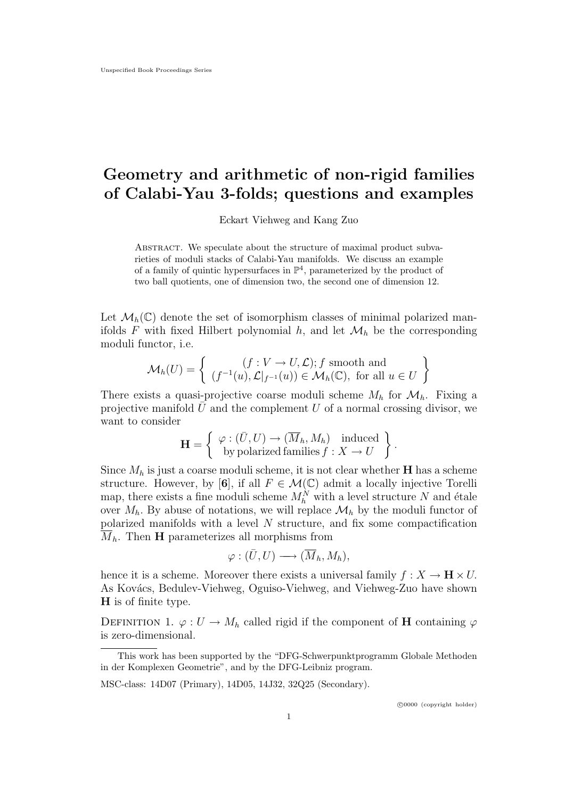# Geometry and arithmetic of non-rigid families of Calabi-Yau 3-folds; questions and examples

Eckart Viehweg and Kang Zuo

Abstract. We speculate about the structure of maximal product subvarieties of moduli stacks of Calabi-Yau manifolds. We discuss an example of a family of quintic hypersurfaces in  $\mathbb{P}^4$ , parameterized by the product of two ball quotients, one of dimension two, the second one of dimension 12.

Let  $\mathcal{M}_h(\mathbb{C})$  denote the set of isomorphism classes of minimal polarized manifolds F with fixed Hilbert polynomial  $h$ , and let  $\mathcal{M}_h$  be the corresponding moduli functor, i.e.

$$
\mathcal{M}_h(U) = \left\{ \begin{array}{c} (f: V \to U, \mathcal{L}); f \text{ smooth and} \\ (f^{-1}(u), \mathcal{L}|_{f^{-1}}(u)) \in \mathcal{M}_h(\mathbb{C}), \text{ for all } u \in U \end{array} \right\}
$$

There exists a quasi-projective coarse moduli scheme  $M_h$  for  $\mathcal{M}_h$ . Fixing a projective manifold  $\bar{U}$  and the complement U of a normal crossing divisor, we want to consider

$$
\mathbf{H} = \left\{ \begin{array}{c} \varphi : (\bar{U}, U) \to (\overline{M}_h, M_h) \quad \text{induced} \\ \text{by polarized families } f : X \to U \end{array} \right\}.
$$

Since  $M_h$  is just a coarse moduli scheme, it is not clear whether **H** has a scheme structure. However, by [6], if all  $F \in \mathcal{M}(\mathbb{C})$  admit a locally injective Torelli map, there exists a fine moduli scheme  $M_h^N$  with a level structure N and étale over  $M_h$ . By abuse of notations, we will replace  $\mathcal{M}_h$  by the moduli functor of polarized manifolds with a level  $N$  structure, and fix some compactification  $M_h$ . Then **H** parameterizes all morphisms from

$$
\varphi: (\bar{U}, U) \longrightarrow (\overline{M}_h, M_h),
$$

hence it is a scheme. Moreover there exists a universal family  $f : X \to \mathbf{H} \times U$ . As Kovács, Bedulev-Viehweg, Oguiso-Viehweg, and Viehweg-Zuo have shown H is of finite type.

DEFINITION 1.  $\varphi: U \to M_h$  called rigid if the component of **H** containing  $\varphi$ is zero-dimensional.

This work has been supported by the "DFG-Schwerpunktprogramm Globale Methoden in der Komplexen Geometrie", and by the DFG-Leibniz program.

MSC-class: 14D07 (Primary), 14D05, 14J32, 32Q25 (Secondary).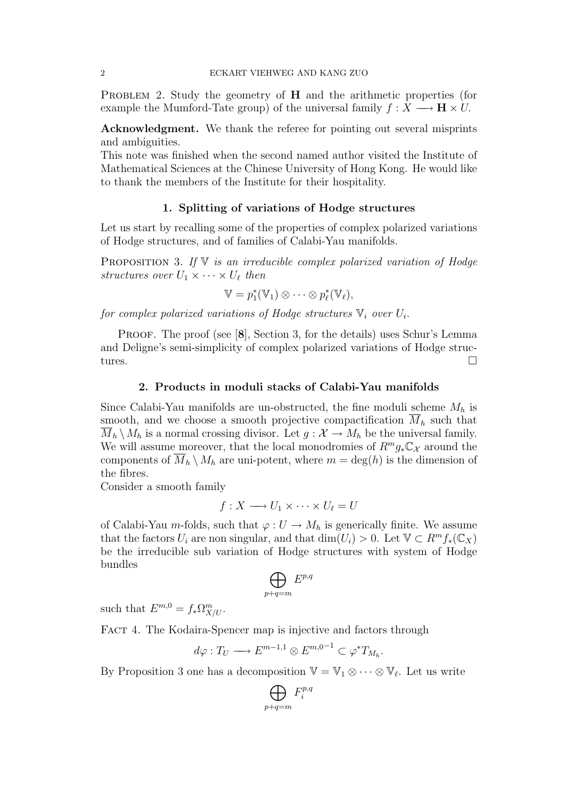PROBLEM 2. Study the geometry of  $H$  and the arithmetic properties (for example the Mumford-Tate group) of the universal family  $f : X \longrightarrow H \times U$ .

Acknowledgment. We thank the referee for pointing out several misprints and ambiguities.

This note was finished when the second named author visited the Institute of Mathematical Sciences at the Chinese University of Hong Kong. He would like to thank the members of the Institute for their hospitality.

#### 1. Splitting of variations of Hodge structures

Let us start by recalling some of the properties of complex polarized variations of Hodge structures, and of families of Calabi-Yau manifolds.

**PROPOSITION** 3. If  $V$  is an irreducible complex polarized variation of Hodge structures over  $U_1 \times \cdots \times U_{\ell}$  then

$$
\mathbb{V} = p_1^*(\mathbb{V}_1) \otimes \cdots \otimes p_\ell^*(\mathbb{V}_\ell),
$$

for complex polarized variations of Hodge structures  $\mathbb{V}_i$  over  $U_i$ .

PROOF. The proof (see [8], Section 3, for the details) uses Schur's Lemma and Deligne's semi-simplicity of complex polarized variations of Hodge structures.

### 2. Products in moduli stacks of Calabi-Yau manifolds

Since Calabi-Yau manifolds are un-obstructed, the fine moduli scheme  $M_h$  is smooth, and we choose a smooth projective compactification  $\overline{M}_h$  such that  $\overline{M}_h \setminus M_h$  is a normal crossing divisor. Let  $g: \mathcal{X} \to M_h$  be the universal family. We will assume moreover, that the local monodromies of  $R^m g_* \mathbb{C}_{\mathcal{X}}$  around the components of  $M_h \setminus M_h$  are uni-potent, where  $m = \deg(h)$  is the dimension of the fibres.

Consider a smooth family

$$
f: X \longrightarrow U_1 \times \cdots \times U_\ell = U
$$

of Calabi-Yau m-folds, such that  $\varphi: U \to M_h$  is generically finite. We assume that the factors  $U_i$  are non singular, and that  $\dim(U_i) > 0$ . Let  $\mathbb{V} \subset R^m f_*(\mathbb{C}_X)$ be the irreducible sub variation of Hodge structures with system of Hodge bundles

$$
\bigoplus\ E^{p,q}
$$

$$
\scriptstyle p+q=m
$$

such that  $E^{m,0} = f_* \Omega^m_{X/U}$ .

FACT 4. The Kodaira-Spencer map is injective and factors through

$$
d\varphi: T_U \longrightarrow E^{m-1,1} \otimes E^{m,0-1} \subset \varphi^* T_{M_h}.
$$

By Proposition 3 one has a decomposition  $\mathbb{V} = \mathbb{V}_1 \otimes \cdots \otimes \mathbb{V}_{\ell}$ . Let us write

$$
\bigoplus_{p+q=m} F_i^{p,q}
$$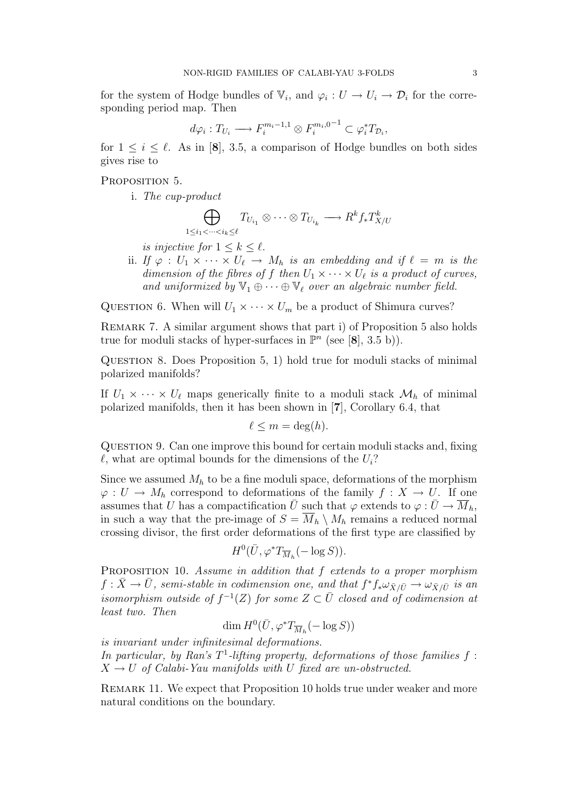for the system of Hodge bundles of  $\mathbb{V}_i$ , and  $\varphi_i: U \to U_i \to \mathcal{D}_i$  for the corresponding period map. Then

$$
d\varphi_i: T_{U_i} \longrightarrow F_i^{m_i-1,1} \otimes F_i^{m_i,0-1} \subset \varphi_i^* T_{\mathcal{D}_i},
$$

for  $1 \leq i \leq \ell$ . As in [8], 3.5, a comparison of Hodge bundles on both sides gives rise to

#### PROPOSITION 5.

i. The cup-product

$$
\bigoplus_{1 \leq i_1 < \dots < i_k \leq \ell} T_{U_{i_1}} \otimes \dots \otimes T_{U_{i_k}} \longrightarrow R^k f_* T^k_{X/U}
$$

is injective for  $1 \leq k \leq \ell$ .

ii. If  $\varphi : U_1 \times \cdots \times U_\ell \to M_h$  is an embedding and if  $\ell = m$  is the dimension of the fibres of f then  $U_1 \times \cdots \times U_{\ell}$  is a product of curves, and uniformized by  $\mathbb{V}_1 \oplus \cdots \oplus \mathbb{V}_\ell$  over an algebraic number field.

QUESTION 6. When will  $U_1 \times \cdots \times U_m$  be a product of Shimura curves?

REMARK 7. A similar argument shows that part i) of Proposition 5 also holds true for moduli stacks of hyper-surfaces in  $\mathbb{P}^n$  (see [8], 3.5 b)).

Question 8. Does Proposition 5, 1) hold true for moduli stacks of minimal polarized manifolds?

If  $U_1 \times \cdots \times U_\ell$  maps generically finite to a moduli stack  $\mathcal{M}_h$  of minimal polarized manifolds, then it has been shown in [7], Corollary 6.4, that

$$
\ell \leq m = \deg(h).
$$

Question 9. Can one improve this bound for certain moduli stacks and, fixing  $\ell$ , what are optimal bounds for the dimensions of the  $U_i$ ?

Since we assumed  $M_h$  to be a fine moduli space, deformations of the morphism  $\varphi: U \to M_h$  correspond to deformations of the family  $f: X \to U$ . If one assumes that U has a compactification  $\bar{U}$  such that  $\varphi$  extends to  $\varphi : \bar{U} \to \overline{M}_h$ , in such a way that the pre-image of  $S = \overline{M}_h \setminus M_h$  remains a reduced normal crossing divisor, the first order deformations of the first type are classified by

$$
H^0(\bar{U}, \varphi^*T_{\overline{M}_h}(-\log S)).
$$

PROPOSITION 10. Assume in addition that f extends to a proper morphism  $f: \bar{X} \to \bar{U}$ , semi-stable in codimension one, and that  $f^* f_* \omega_{\bar{X}/\bar{U}} \to \omega_{\bar{X}/\bar{U}}$  is an isomorphism outside of  $f^{-1}(Z)$  for some  $Z \subset \overline{U}$  closed and of codimension at least two. Then

$$
\dim H^0(\bar{U}, \varphi^*T_{\overline{M}_h}(-\log S))
$$

is invariant under infinitesimal deformations.

In particular, by Ran's  $T^1$ -lifting property, deformations of those families  $f$ :  $X \rightarrow U$  of Calabi-Yau manifolds with U fixed are un-obstructed.

Remark 11. We expect that Proposition 10 holds true under weaker and more natural conditions on the boundary.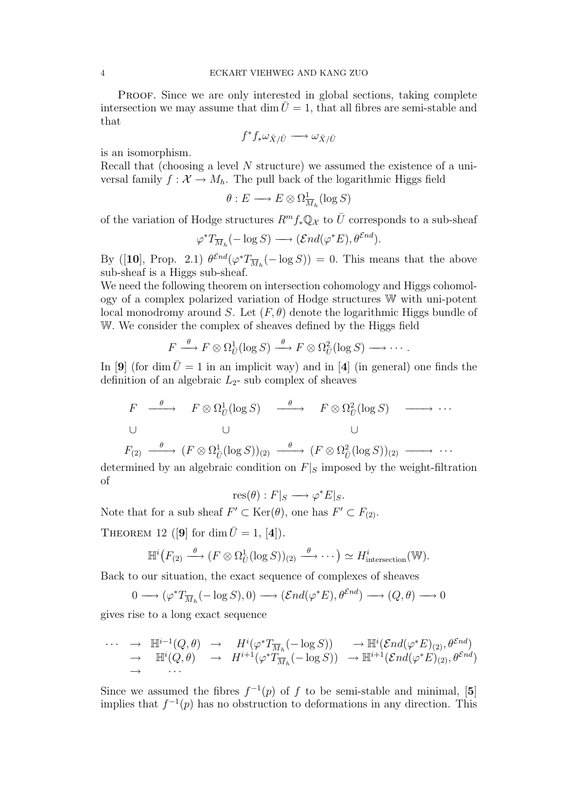PROOF. Since we are only interested in global sections, taking complete intersection we may assume that dim  $\bar{U} = 1$ , that all fibres are semi-stable and that

$$
f^* f_* \omega_{\bar{X}/\bar{U}} \longrightarrow \omega_{\bar{X}/\bar{U}}
$$

is an isomorphism.

Recall that (choosing a level N structure) we assumed the existence of a universal family  $f: \mathcal{X} \to M_h$ . The pull back of the logarithmic Higgs field

$$
\theta: E \longrightarrow E \otimes \Omega^1_{\overline{M}_h}(\log S)
$$

of the variation of Hodge structures  $R^m f_* \mathbb{Q}_{\mathcal{X}}$  to  $\overline{U}$  corresponds to a sub-sheaf

$$
\varphi^* T_{\overline{M}_h}(-\log S) \longrightarrow (\mathcal{E}nd(\varphi^*E), \theta^{\mathcal{E}nd}).
$$

By ([10], Prop. 2.1)  $\theta^{\mathcal{E}nd}(\varphi^*T_{\overline{M}_h}(-\log S)) = 0$ . This means that the above sub-sheaf is a Higgs sub-sheaf.

We need the following theorem on intersection cohomology and Higgs cohomology of a complex polarized variation of Hodge structures W with uni-potent local monodromy around S. Let  $(F, \theta)$  denote the logarithmic Higgs bundle of W. We consider the complex of sheaves defined by the Higgs field

 $F \stackrel{\theta}{\longrightarrow} F \otimes \Omega_{\bar{U}}^1(\log S) \stackrel{\theta}{\longrightarrow} F \otimes \Omega_{\bar{U}}^2(\log S) \longrightarrow \cdots$ 

In [9] (for dim  $\bar{U} = 1$  in an implicit way) and in [4] (in general) one finds the definition of an algebraic  $L_2$ - sub complex of sheaves

$$
F \xrightarrow{\theta} F \otimes \Omega_{\bar{U}}^1(\log S) \xrightarrow{\theta} F \otimes \Omega_{\bar{U}}^2(\log S) \xrightarrow{\cdots}
$$
  
\n
$$
\cup \qquad \qquad \cup
$$

$$
F_{(2)} \xrightarrow{\theta} (F \otimes \Omega_{\bar{U}}^1(\log S))_{(2)} \xrightarrow{\theta} (F \otimes \Omega_{\bar{U}}^2(\log S))_{(2)} \xrightarrow{\hspace{0.5cm} \ldots
$$

determined by an algebraic condition on  $F|_S$  imposed by the weight-filtration of

$$
res(\theta): F|_S \longrightarrow \varphi^* E|_S.
$$

Note that for a sub sheaf  $F' \subset \text{Ker}(\theta)$ , one has  $F' \subset F_{(2)}$ .

THEOREM 12 ([9] for dim  $\bar{U} = 1$ , [4]).

$$
\mathbb{H}^i\big(F_{(2)} \xrightarrow{\theta} (F \otimes \Omega^1_{\bar{U}}(\log S))_{(2)} \xrightarrow{\theta} \cdots \big) \simeq H^i_{\text{intersection}}(\mathbb{W}).
$$

Back to our situation, the exact sequence of complexes of sheaves

$$
0 \longrightarrow (\varphi^* T_{\overline{M}_h}(-\log S), 0) \longrightarrow (\mathcal{E}nd(\varphi^* E), \theta^{\mathcal{E}nd}) \longrightarrow (Q, \theta) \longrightarrow 0
$$

gives rise to a long exact sequence

$$
\cdots \rightarrow \mathbb{H}^{i-1}(Q,\theta) \rightarrow H^{i}(\varphi^{*}T_{\overline{M}_{h}}(-\log S)) \rightarrow \mathbb{H}^{i}(\mathcal{E}nd(\varphi^{*}E)_{(2)},\theta^{\mathcal{E}nd})
$$
  
\n
$$
\rightarrow \mathbb{H}^{i}(Q,\theta) \rightarrow H^{i+1}(\varphi^{*}T_{\overline{M}_{h}}(-\log S)) \rightarrow \mathbb{H}^{i+1}(\mathcal{E}nd(\varphi^{*}E)_{(2)},\theta^{\mathcal{E}nd})
$$

Since we assumed the fibres  $f^{-1}(p)$  of f to be semi-stable and minimal, [5] implies that  $f^{-1}(p)$  has no obstruction to deformations in any direction. This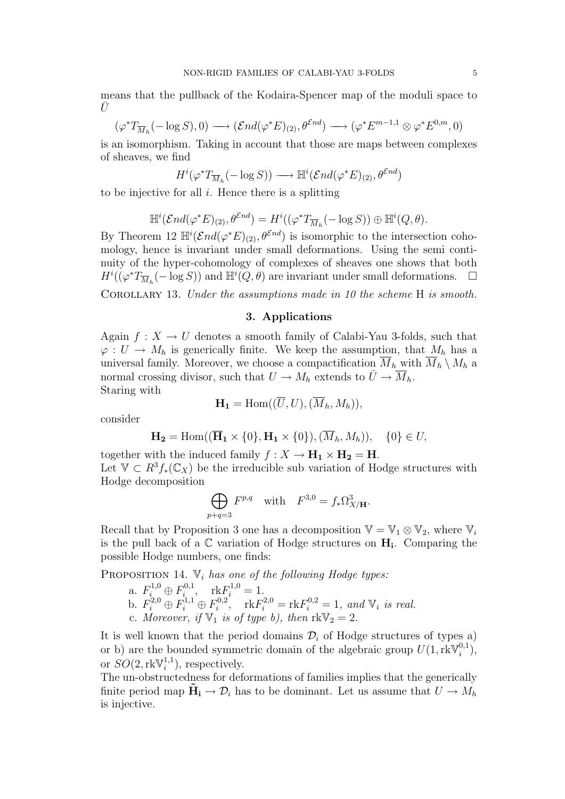means that the pullback of the Kodaira-Spencer map of the moduli space to  $\bar{U}$ 

$$
(\varphi^* T_{\overline{M}_h}(-\log S), 0) \longrightarrow (\mathcal{E}nd(\varphi^* E)_{(2)}, \theta^{\mathcal{E}nd}) \longrightarrow (\varphi^* E^{m-1,1} \otimes \varphi^* E^{0,m}, 0)
$$

is an isomorphism. Taking in account that those are maps between complexes of sheaves, we find

$$
H^i(\varphi^*T_{\overline{M}_h}(-\log S))\longrightarrow {\mathbb H}^i(\mathcal{E}nd(\varphi^*E)_{(2)},\theta^{\mathcal{E}nd})
$$

to be injective for all  $i$ . Hence there is a splitting

$$
\mathbb{H}^i(\mathcal{E}nd(\varphi^*E)_{(2)},\theta^{\mathcal{E}nd})=H^i((\varphi^*T_{\overline{M}_h}(-\log S))\oplus \mathbb{H}^i(Q,\theta).
$$

By Theorem 12  $\mathbb{H}^i(\mathcal{E}nd(\varphi^*E)_{(2)}, \theta^{\mathcal{E}nd})$  is isomorphic to the intersection cohomology, hence is invariant under small deformations. Using the semi continuity of the hyper-cohomology of complexes of sheaves one shows that both  $H^i((\varphi^*T_{\overline{M}_h}(-\log S))$  and  $\mathbb{H}^i(Q,\theta)$  are invariant under small deformations.  $\Box$ 

COROLLARY 13. Under the assumptions made in 10 the scheme H is smooth.

## 3. Applications

Again  $f: X \to U$  denotes a smooth family of Calabi-Yau 3-folds, such that  $\varphi: U \to M_h$  is generically finite. We keep the assumption, that  $M_h$  has a universal family. Moreover, we choose a compactification  $\overline{M}_h$  with  $\overline{M}_h \setminus M_h$  a normal crossing divisor, such that  $U \to M_h$  extends to  $\overline{U} \to M_h$ . Staring with

$$
\mathbf{H_1} = \text{Hom}((\overline{U}, U), (\overline{M}_h, M_h)),
$$

consider

$$
\mathbf{H_2} = \text{Hom}((\overline{\mathbf{H}}_1 \times \{0\}, \mathbf{H}_1 \times \{0\}), (\overline{M}_h, M_h)), \quad \{0\} \in U,
$$

together with the induced family  $f : X \to H_1 \times H_2 = H$ . Let  $\mathbb{V} \subset R^3 f_*(\mathbb{C}_X)$  be the irreducible sub variation of Hodge structures with Hodge decomposition

$$
\bigoplus_{p+q=3} F^{p,q} \quad \text{with} \quad F^{3,0} = f_* \Omega^3_{X/\mathbf{H}}.
$$

Recall that by Proposition 3 one has a decomposition  $\mathbb{V} = \mathbb{V}_1 \otimes \mathbb{V}_2$ , where  $\mathbb{V}_i$ is the pull back of a  $\mathbb C$  variation of Hodge structures on  $H_i$ . Comparing the possible Hodge numbers, one finds:

PROPOSITION 14.  $\mathbb{V}_i$  has one of the following Hodge types:

a. 
$$
F_i^{1,0} \oplus F_i^{0,1}
$$
,  $rkF_i^{1,0} = 1$ .  
\nb.  $F_i^{2,0} \oplus F_i^{1,1} \oplus F_i^{0,2}$ ,  $rkF_i^{2,0} = rkF_i^{0,2} = 1$ , and  $\mathbb{V}_i$  is real.  
\nc. Moreover, if  $\mathbb{V}_1$  is of type b), then  $rk\mathbb{V}_2 = 2$ .

It is well known that the period domains  $\mathcal{D}_i$  of Hodge structures of types a) or b) are the bounded symmetric domain of the algebraic group  $U(1, \text{rk}\mathbb{V}_i^{0,1})$  $i^{0,1}),$ or  $SO(2,\text{rk}\mathbb{V}^{1,1}_i)$  $i^{1,1}$ , respectively.

The un-obstructedness for deformations of families implies that the generically finite period map  $\tilde{H}_i \to \mathcal{D}_i$  has to be dominant. Let us assume that  $U \to M_h$ is injective.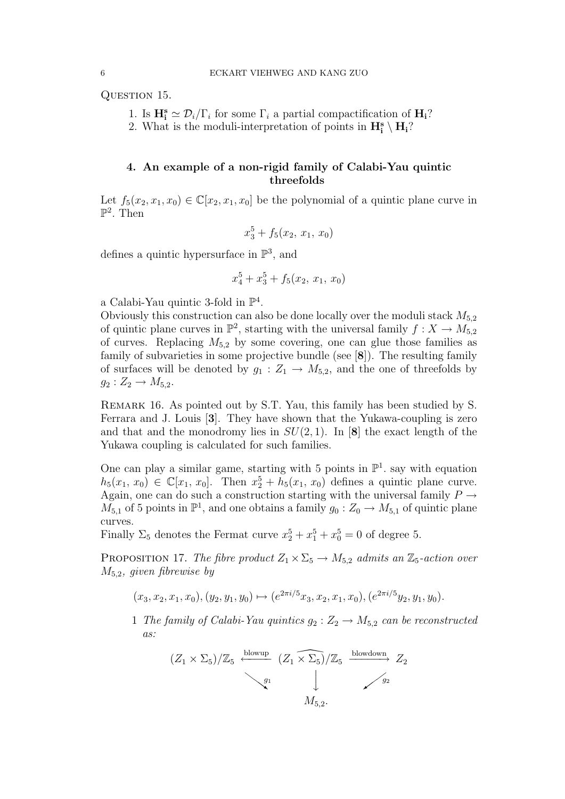QUESTION 15.

- 1. Is  $\mathbf{H}_{i}^{\mathbf{s}} \simeq \mathcal{D}_{i}/\Gamma_{i}$  for some  $\Gamma_{i}$  a partial compactification of  $\mathbf{H}_{i}$ ?
- 2. What is the moduli-interpretation of points in  $H_i^s \setminus H_i$ ?

## 4. An example of a non-rigid family of Calabi-Yau quintic threefolds

Let  $f_5(x_2, x_1, x_0) \in \mathbb{C}[x_2, x_1, x_0]$  be the polynomial of a quintic plane curve in  $\mathbb{P}^2$ . Then

$$
x_3^5 + f_5(x_2, x_1, x_0)
$$

defines a quintic hypersurface in  $\mathbb{P}^3$ , and

$$
x_4^5 + x_3^5 + f_5(x_2, x_1, x_0)
$$

a Calabi-Yau quintic 3-fold in  $\mathbb{P}^4$ .

Obviously this construction can also be done locally over the moduli stack  $M_{5,2}$ of quintic plane curves in  $\mathbb{P}^2$ , starting with the universal family  $f: X \to M_{5,2}$ of curves. Replacing  $M_{5,2}$  by some covering, one can glue those families as family of subvarieties in some projective bundle (see [8]). The resulting family of surfaces will be denoted by  $g_1 : Z_1 \to M_{5,2}$ , and the one of threefolds by  $g_2 : Z_2 \to M_{5,2}.$ 

Remark 16. As pointed out by S.T. Yau, this family has been studied by S. Ferrara and J. Louis [3]. They have shown that the Yukawa-coupling is zero and that and the monodromy lies in  $SU(2,1)$ . In [8] the exact length of the Yukawa coupling is calculated for such families.

One can play a similar game, starting with 5 points in  $\mathbb{P}^1$ . say with equation  $h_5(x_1, x_0) \in \mathbb{C}[x_1, x_0]$ . Then  $x_2^5 + h_5(x_1, x_0)$  defines a quintic plane curve. Again, one can do such a construction starting with the universal family  $P \rightarrow$  $M_{5,1}$  of 5 points in  $\mathbb{P}^1$ , and one obtains a family  $g_0: Z_0 \to M_{5,1}$  of quintic plane curves.

Finally  $\Sigma_5$  denotes the Fermat curve  $x_2^5 + x_1^5 + x_0^5 = 0$  of degree 5.

PROPOSITION 17. The fibre product  $Z_1 \times \Sigma_5 \rightarrow M_{5,2}$  admits an  $\mathbb{Z}_5$ -action over  $M_{5,2}$ , given fibrewise by

$$
(x_3, x_2, x_1, x_0), (y_2, y_1, y_0) \mapsto (e^{2\pi i/5}x_3, x_2, x_1, x_0), (e^{2\pi i/5}y_2, y_1, y_0).
$$

1 The family of Calabi-Yau quintics  $g_2 : Z_2 \to M_{5,2}$  can be reconstructed as:

$$
(Z_1 \times \Sigma_5)/\mathbb{Z}_5 \xrightarrow{\text{blowup}} (Z_1 \times \Sigma_5)/\mathbb{Z}_5 \xrightarrow{\text{blowdown}} Z_2
$$
  
\n $\downarrow$   $\mathbb{Z}_2$   
\n $M_{5,2}.$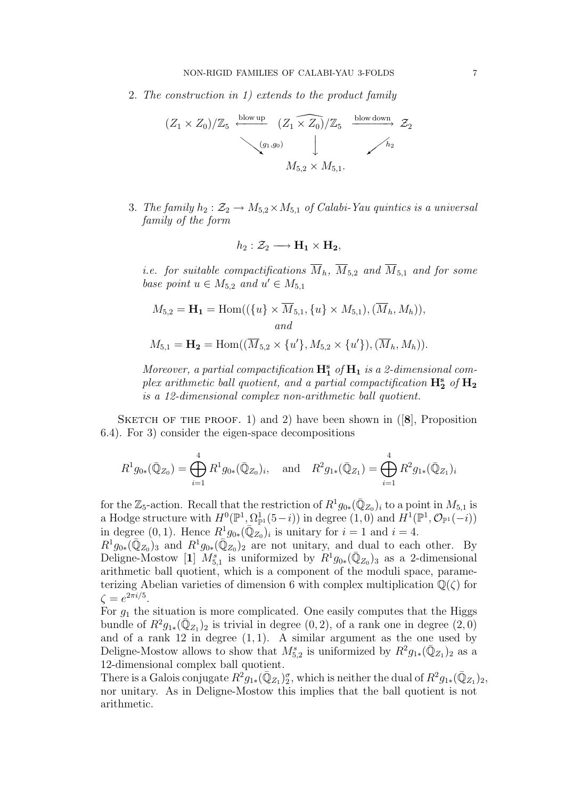2. The construction in 1) extends to the product family

$$
(Z_1 \times Z_0)/\mathbb{Z}_5 \xrightarrow{\text{blow up}} (Z_1 \times Z_0)/\mathbb{Z}_5 \xrightarrow{\text{blow down}} Z_2
$$
  
 $(g_1, g_0)$   
 $M_{5,2} \times M_{5,1}.$ 

3. The family  $h_2 : \mathcal{Z}_2 \to M_{5,2} \times M_{5,1}$  of Calabi-Yau quintics is a universal family of the form

$$
h_2: \mathcal{Z}_2 \longrightarrow \mathbf{H}_1 \times \mathbf{H}_2,
$$

*i.e.* for suitable compactifications  $\overline{M}_h$ ,  $\overline{M}_{5,2}$  and  $\overline{M}_{5,1}$  and for some base point  $u \in M_{5,2}$  and  $u' \in M_{5,1}$ 

$$
M_{5,2} = \mathbf{H_1} = \text{Hom}((\{u\} \times \overline{M}_{5,1}, \{u\} \times M_{5,1}), (\overline{M}_h, M_h)),
$$
  
\nand  
\n
$$
M_{5,1} = \mathbf{H_2} = \text{Hom}((\overline{M}_{5,2} \times \{u'\}, M_{5,2} \times \{u'\}), (\overline{M}_h, M_h)).
$$

Moreover, a partial compactification  $\mathbf{H}^s_1$  of  $\mathbf{H}_1$  is a 2-dimensional complex arithmetic ball quotient, and a partial compactification  $\mathbf{H}_{2}^{\mathrm{s}}$  of  $\mathbf{H}_{2}$ is a 12-dimensional complex non-arithmetic ball quotient.

SKETCH OF THE PROOF. 1) and 2) have been shown in  $([8]$ , Proposition 6.4). For 3) consider the eigen-space decompositions

$$
R^1 g_{0*}(\bar{\mathbb{Q}}_{Z_0}) = \bigoplus_{i=1}^4 R^1 g_{0*}(\bar{\mathbb{Q}}_{Z_0})_i, \text{ and } R^2 g_{1*}(\bar{\mathbb{Q}}_{Z_1}) = \bigoplus_{i=1}^4 R^2 g_{1*}(\bar{\mathbb{Q}}_{Z_1})_i
$$

for the  $\mathbb{Z}_5$ -action. Recall that the restriction of  $R^1 g_{0*}(\bar{\mathbb{Q}}_{Z_0})_i$  to a point in  $M_{5,1}$  is a Hodge structure with  $H^0(\mathbb{P}^1, \Omega_{\mathbb{P}^1}^1(5-i))$  in degree  $(1,0)$  and  $H^1(\mathbb{P}^1, \mathcal{O}_{\mathbb{P}^1}(-i))$ in degree (0, 1). Hence  $R_{}^{1}g_{0*}(\bar{\mathbb{Q}}_{Z_0})_i$  is unitary for  $i=1$  and  $i=4$ .

 $R^1g_{0*}(\bar{\mathbb{Q}}_{Z_0})_3$  and  $R^1g_{0*}(\bar{\mathbb{Q}}_{Z_0})_2$  are not unitary, and dual to each other. By Deligne-Mostow [1]  $M_{5,1}^s$  is uniformized by  $R^1g_{0*}(\bar{Q}_{Z_0})_3$  as a 2-dimensional arithmetic ball quotient, which is a component of the moduli space, parameterizing Abelian varieties of dimension 6 with complex multiplication  $\mathbb{Q}(\zeta)$  for  $\zeta = e^{2\pi i/5}$ .

For  $g_1$  the situation is more complicated. One easily computes that the Higgs bundle of  $R^2g_{1*}(\bar{\mathbb{Q}}_{Z_1})_2$  is trivial in degree  $(0, 2)$ , of a rank one in degree  $(2, 0)$ and of a rank 12 in degree  $(1, 1)$ . A similar argument as the one used by Deligne-Mostow allows to show that  $M_{5,2}^s$  is uniformized by  $R^2g_{1*}(\bar{Q}_{Z_1})_2$  as a 12-dimensional complex ball quotient.

There is a Galois conjugate  $R^2g_{1*}(\bar{Q}_{Z_1})_2^{\sigma}$ , which is neither the dual of  $R^2g_{1*}(\bar{Q}_{Z_1})_2$ , nor unitary. As in Deligne-Mostow this implies that the ball quotient is not arithmetic.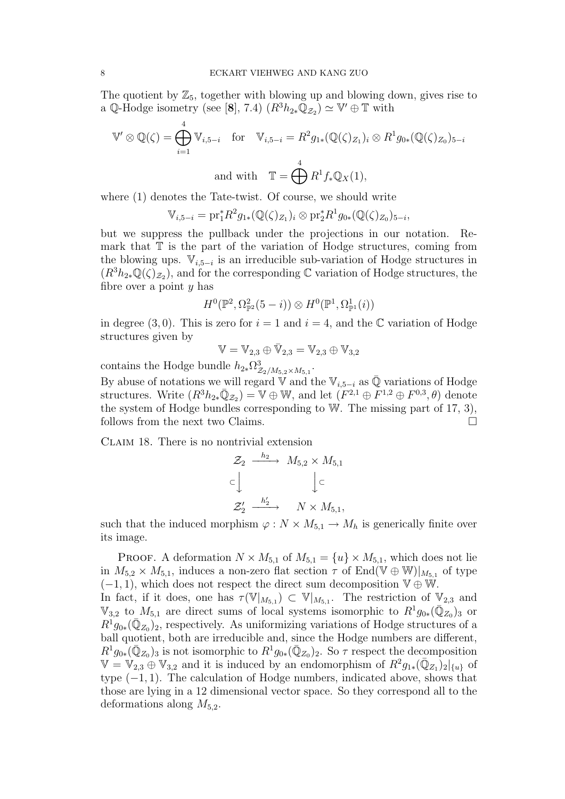The quotient by  $\mathbb{Z}_5$ , together with blowing up and blowing down, gives rise to a Q-Hodge isometry (see [8], 7.4)  $(R^3h_{2*}\mathbb{Q}_{\mathcal{Z}_2}) \simeq \mathbb{V}' \oplus \mathbb{T}$  with

$$
\mathbb{V}' \otimes \mathbb{Q}(\zeta) = \bigoplus_{i=1}^{4} \mathbb{V}_{i,5-i} \quad \text{for} \quad \mathbb{V}_{i,5-i} = R^2 g_{1*}(\mathbb{Q}(\zeta)_{Z_1})_i \otimes R^1 g_{0*}(\mathbb{Q}(\zeta)_{Z_0})_{5-i}
$$
\n
$$
\text{and with} \quad \mathbb{T} = \bigoplus_{i=1}^{4} R^1 f_* \mathbb{Q}_X(1),
$$

where (1) denotes the Tate-twist. Of course, we should write

$$
\mathbb{V}_{i,5-i} = \text{pr}_1^* R^2 g_{1*}(\mathbb{Q}(\zeta)_{Z_1})_i \otimes \text{pr}_2^* R^1 g_{0*}(\mathbb{Q}(\zeta)_{Z_0})_{5-i},
$$

but we suppress the pullback under the projections in our notation. Remark that  $T$  is the part of the variation of Hodge structures, coming from the blowing ups.  $\mathbb{V}_{i,5-i}$  is an irreducible sub-variation of Hodge structures in  $(R^{3}h_{2*}\mathbb{Q}(\zeta)_{\mathcal{Z}_2})$ , and for the corresponding  $\mathbb{C}$  variation of Hodge structures, the fibre over a point  $y$  has

$$
H^0(\mathbb{P}^2, \Omega^2_{\mathbb{P}^2}(5-i)) \otimes H^0(\mathbb{P}^1, \Omega^1_{\mathbb{P}^1}(i))
$$

in degree (3,0). This is zero for  $i = 1$  and  $i = 4$ , and the C variation of Hodge structures given by

$$
\mathbb{V}=\mathbb{V}_{2,3}\oplus\bar{\mathbb{V}}_{2,3}=\mathbb{V}_{2,3}\oplus\mathbb{V}_{3,2}
$$

contains the Hodge bundle  $h_{2*}\Omega^3_{\mathcal{Z}_2/M_{5,2}\times M_{5,1}}$ .

By abuse of notations we will regard V and the  $\mathbb{V}_{i,5-i}$  as  $\overline{\mathbb{Q}}$  variations of Hodge structures. Write  $(R^3h_{2*}\bar{\mathbb{Q}}_{Z_2}) = \mathbb{V} \oplus \mathbb{W}$ , and let  $(F^{2,1} \oplus F^{1,2} \oplus F^{0,3}, \theta)$  denote the system of Hodge bundles corresponding to W. The missing part of 17, 3), follows from the next two Claims.  $\Box$ 

CLAIM 18. There is no nontrivial extension

$$
\mathcal{Z}_2 \xrightarrow{h_2} M_{5,2} \times M_{5,1}
$$
  

$$
\subset \downarrow \qquad \qquad \downarrow \subset
$$
  

$$
\mathcal{Z}'_2 \xrightarrow{h'_2} \qquad N \times M_{5,1},
$$

such that the induced morphism  $\varphi : N \times M_{5,1} \to M_h$  is generically finite over its image.

PROOF. A deformation  $N \times M_{5,1}$  of  $M_{5,1} = \{u\} \times M_{5,1}$ , which does not lie in  $M_{5,2} \times M_{5,1}$ , induces a non-zero flat section  $\tau$  of End(V  $\oplus$  W)| $_{M_{5,1}}$  of type  $(-1, 1)$ , which does not respect the direct sum decomposition  $\mathbb{V} \oplus \mathbb{W}$ .

In fact, if it does, one has  $\tau(\mathbb{V}|_{M_{5,1}}) \subset \mathbb{V}|_{M_{5,1}}$ . The restriction of  $\mathbb{V}_{2,3}$  and  $\mathbb{V}_{3,2}$  to  $M_{5,1}$  are direct sums of local systems isomorphic to  $R^1g_{0*}(\bar{\mathbb{Q}}_{Z_0})_3$  or  $R^1 g_{0*}(\bar{\mathbb{Q}}_{Z_0})_2$ , respectively. As uniformizing variations of Hodge structures of a ball quotient, both are irreducible and, since the Hodge numbers are different,  $R^1g_{0*}(\bar{\mathbb{Q}}_{Z_0})_3$  is not isomorphic to  $R^1g_{0*}(\bar{\mathbb{Q}}_{Z_0})_2$ . So  $\tau$  respect the decomposition  $\mathbb{V} = \mathbb{V}_{2,3} \oplus \mathbb{V}_{3,2}$  and it is induced by an endomorphism of  $R^2g_{1*}(\bar{\mathbb{Q}}_{Z_1})_2|_{\{u\}}$  of type  $(-1, 1)$ . The calculation of Hodge numbers, indicated above, shows that those are lying in a 12 dimensional vector space. So they correspond all to the deformations along  $M_{5,2}$ .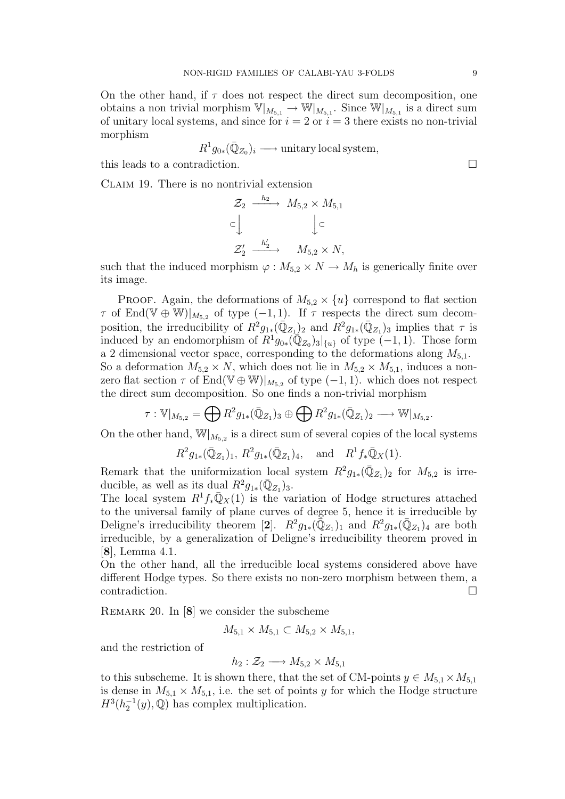On the other hand, if  $\tau$  does not respect the direct sum decomposition, one obtains a non trivial morphism  $V|_{M_{5,1}} \to W|_{M_{5,1}}$ . Since  $W|_{M_{5,1}}$  is a direct sum of unitary local systems, and since for  $i = 2$  or  $i = 3$  there exists no non-trivial morphism

$$
R^1 g_{0*}(\bar{\mathbb{Q}}_{Z_0})_i \longrightarrow \text{unitary local system},
$$

this leads to a contradiction.

Claim 19. There is no nontrivial extension

$$
\mathcal{Z}_2 \xrightarrow{h_2} M_{5,2} \times M_{5,1}
$$
  
\n
$$
\subset \downarrow \qquad \qquad \downarrow \subset
$$
  
\n
$$
\mathcal{Z}'_2 \xrightarrow{h'_2} M_{5,2} \times N,
$$

such that the induced morphism  $\varphi : M_{5,2} \times N \to M_h$  is generically finite over its image.

PROOF. Again, the deformations of  $M_{5,2} \times \{u\}$  correspond to flat section  $\tau$  of End(V  $\oplus$  W)| $_{M_{5,2}}$  of type (-1, 1). If  $\tau$  respects the direct sum decomposition, the irreducibility of  $R^2g_{1*}(\bar{\mathbb{Q}}_{Z_1})_2$  and  $R^2g_{1*}(\bar{\mathbb{Q}}_{Z_1})_3$  implies that  $\tau$  is induced by an endomorphism of  $R^1g_{0*}(\overline{\mathbb{Q}}_{Z_0})_3|_{\{u\}}$  of type  $(-1, 1)$ . Those form a 2 dimensional vector space, corresponding to the deformations along  $M_{5,1}$ . So a deformation  $M_{5,2} \times N$ , which does not lie in  $M_{5,2} \times M_{5,1}$ , induces a nonzero flat section  $\tau$  of End(V  $\oplus$  W)| $_{M_{5,2}}$  of type (-1, 1). which does not respect the direct sum decomposition. So one finds a non-trivial morphism

$$
\tau: \mathbb{V}|_{M_{5,2}} = \bigoplus R^2 g_{1*}(\overline{\mathbb{Q}}_{Z_1})_3 \oplus \bigoplus R^2 g_{1*}(\overline{\mathbb{Q}}_{Z_1})_2 \longrightarrow \mathbb{W}|_{M_{5,2}}.
$$

On the other hand,  $\mathbb{W}|_{M_{5,2}}$  is a direct sum of several copies of the local systems

$$
R^2 g_{1*}(\bar{\mathbb{Q}}_{Z_1})_1
$$
,  $R^2 g_{1*}(\bar{\mathbb{Q}}_{Z_1})_4$ , and  $R^1 f_* \bar{\mathbb{Q}}_X(1)$ .

Remark that the uniformization local system  $R^2g_{1*}(\bar{\mathbb{Q}}_{Z_1})_2$  for  $M_{5,2}$  is irreducible, as well as its dual  $R^2g_{1*}(\bar{\mathbb{Q}}_{Z_1})_3$ .

The local system  $R^1 f_* \overline{\mathbb{Q}}_X(1)$  is the variation of Hodge structures attached to the universal family of plane curves of degree 5, hence it is irreducible by Deligne's irreducibility theorem [2].  $R^2 g_{1*}(\overline{\overline{Q}}_{Z_1})_1$  and  $R^2 g_{1*}(\overline{Q}_{Z_1})_4$  are both irreducible, by a generalization of Deligne's irreducibility theorem proved in [8], Lemma 4.1.

On the other hand, all the irreducible local systems considered above have different Hodge types. So there exists no non-zero morphism between them, a contradiction.

REMARK 20. In [8] we consider the subscheme

$$
M_{5,1} \times M_{5,1} \subset M_{5,2} \times M_{5,1},
$$

and the restriction of

$$
h_2: \mathcal{Z}_2 \longrightarrow M_{5,2} \times M_{5,1}
$$

to this subscheme. It is shown there, that the set of CM-points  $y \in M_{5,1} \times M_{5,1}$ is dense in  $M_{5,1} \times M_{5,1}$ , i.e. the set of points y for which the Hodge structure  $H^3(h_2^{-1}(y),\mathbb{Q})$  has complex multiplication.